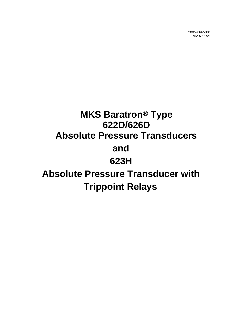20054392-001 Rev A 11/21

# **MKS Baratron® Type 622D/626D Absolute Pressure Transducers and 623H Absolute Pressure Transducer with Trippoint Relays**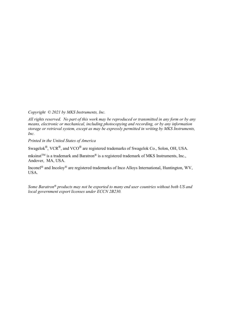*Copyright © 2021 by MKS Instruments, Inc.*

*All rights reserved. No part of this work may be reproduced or transmitted in any form or by any means, electronic or mechanical, including photocopying and recording, or by any information storage or retrieval system, except as may be expressly permitted in writing by MKS Instruments, Inc.*

*Printed in the United States of America*

Swagelok $^\circledR,$  VCR $^\circledR,$  and VCO $^\circledR$  are registered trademarks of Swagelok Co., Solon, OH, USA.

mksinst<sup>TM</sup> is a trademark and Baratron<sup>®</sup> is a registered trademark of MKS Instruments, Inc., Andover, MA, USA.

Inconel® and Incoloy® are registered trademarks of Inco Alloys International, Huntington, WV, USA.

*Some Baratron® products may not be exported to many end user countries without both US and local government export licenses under ECCN 2B230.*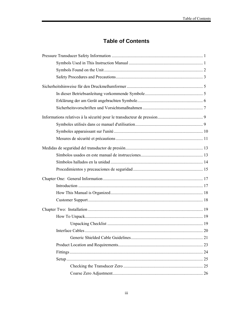### **Table of Contents**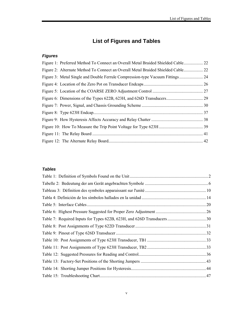## **List of Figures and Tables**

### *Figures*

| Figure 1: Preferred Method To Connect an Overall Metal Braided Shielded Cable 22 |  |
|----------------------------------------------------------------------------------|--|
| Figure 2: Alternate Method To Connect an Overall Metal Braided Shielded Cable 22 |  |
| Figure 3: Metal Single and Double Ferrule Compression-type Vacuum Fittings 24    |  |
|                                                                                  |  |
|                                                                                  |  |
|                                                                                  |  |
|                                                                                  |  |
|                                                                                  |  |
|                                                                                  |  |
|                                                                                  |  |
|                                                                                  |  |
|                                                                                  |  |

#### *Tables*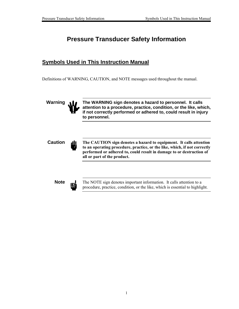## **Pressure Transducer Safety Information**

### **Symbols Used in This Instruction Manual**

Definitions of WARNING, CAUTION, and NOTE messages used throughout the manual.

Warning **10** The WARNING sign denotes a hazard to personnel. It calls **attention to a procedure, practice, condition, or the like, which, if not correctly performed or adhered to, could result in injury to personnel.**



**Caution III** The CAUTION sign denotes a hazard to equipment. It calls attention **to an operating procedure, practice, or the like, which, if not correctly performed or adhered to, could result in damage to or destruction of all or part of the product.**

**Note** The NOTE sign denotes important information. It calls attention to a procedure prestige condition or the like which is assertial to highlight procedure, practice, condition, or the like, which is essential to highlight.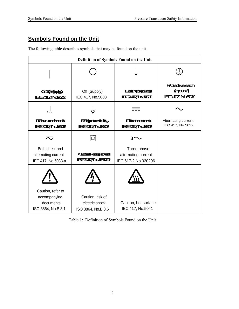### **Symbols Found on the Unit**

The following table describes symbols that may be found on the unit.

| Definition of Symbols Found on the Unit                              |                                                          |                                                           |                                                        |
|----------------------------------------------------------------------|----------------------------------------------------------|-----------------------------------------------------------|--------------------------------------------------------|
|                                                                      |                                                          |                                                           |                                                        |
| <b>COSTAD</b><br><b>ECSTIZINGKO</b>                                  | Off (Supply)<br>IEC 417, No.5008                         | <b>Eat (grun)</b><br><b>KEATARKAT</b>                     | <b>Rotedivecenth</b><br>(gard)<br><b>IECAT, NOEDIE</b> |
|                                                                      |                                                          |                                                           |                                                        |
| <b>Franceptrasis</b><br><b>ECALT REASE</b>                           | <b>Education</b><br><b>KESTARKSEE</b>                    | <b>Retxonedo</b><br><b>KESTIANSEE</b>                     | Alternating current<br>IEC 417, No.5032                |
|                                                                      | ΙI                                                       | 31                                                        |                                                        |
| Both direct and<br>alternating current<br>IEC 417, No.5033-a         | <b>Calcipul</b><br><b>KENT SERRE</b>                     | Three phase<br>alternating current<br>IEC 617-2 No.020206 |                                                        |
|                                                                      |                                                          |                                                           |                                                        |
| Caution, refer to<br>accompanying<br>documents<br>ISO 3864, No.B.3.1 | Caution, risk of<br>electric shock<br>ISO 3864, No.B.3.6 | Caution, hot surface<br>IEC 417, No.5041                  |                                                        |

Table 1: Definition of Symbols Found on the Unit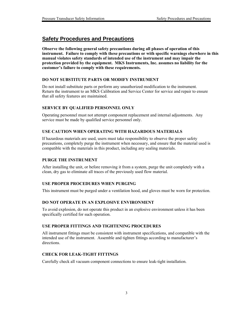### **Safety Procedures and Precautions**

**Observe the following general safety precautions during all phases of operation of this instrument. Failure to comply with these precautions or with specific warnings elsewhere in this manual violates safety standards of intended use of the instrument and may impair the protection provided by the equipment. MKS Instruments, Inc. assumes no liability for the customer's failure to comply with these requirements.**

#### **DO NOT SUBSTITUTE PARTS OR MODIFY INSTRUMENT**

Do not install substitute parts or perform any unauthorized modification to the instrument. Return the instrument to an MKS Calibration and Service Center for service and repair to ensure that all safety features are maintained.

#### **SERVICE BY QUALIFIED PERSONNEL ONLY**

Operating personnel must not attempt component replacement and internal adjustments. Any service must be made by qualified service personnel only.

#### **USE CAUTION WHEN OPERATING WITH HAZARDOUS MATERIALS**

If hazardous materials are used, users must take responsibility to observe the proper safety precautions, completely purge the instrument when necessary, and ensure that the material used is compatible with the materials in this product, including any sealing materials.

#### **PURGE THE INSTRUMENT**

After installing the unit, or before removing it from a system, purge the unit completely with a clean, dry gas to eliminate all traces of the previously used flow material.

#### **USE PROPER PROCEDURES WHEN PURGING**

This instrument must be purged under a ventilation hood, and gloves must be worn for protection.

#### **DO NOT OPERATE IN AN EXPLOSIVE ENVIRONMENT**

To avoid explosion, do not operate this product in an explosive environment unless it has been specifically certified for such operation.

#### **USE PROPER FITTINGS AND TIGHTENING PROCEDURES**

All instrument fittings must be consistent with instrument specifications, and compatible with the intended use of the instrument. Assemble and tighten fittings according to manufacturer's directions.

#### **CHECK FOR LEAK-TIGHT FITTINGS**

Carefully check all vacuum component connections to ensure leak-tight installation.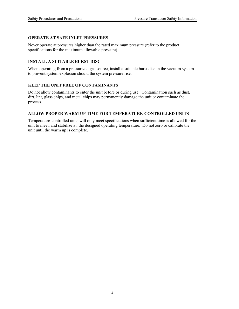#### **OPERATE AT SAFE INLET PRESSURES**

Never operate at pressures higher than the rated maximum pressure (refer to the product specifications for the maximum allowable pressure).

#### **INSTALL A SUITABLE BURST DISC**

When operating from a pressurized gas source, install a suitable burst disc in the vacuum system to prevent system explosion should the system pressure rise.

#### **KEEP THE UNIT FREE OF CONTAMINANTS**

Do not allow contaminants to enter the unit before or during use. Contamination such as dust, dirt, lint, glass chips, and metal chips may permanently damage the unit or contaminate the process.

#### **ALLOW PROPER WARM UP TIME FOR TEMPERATURE-CONTROLLED UNITS**

Temperature-controlled units will only meet specifications when sufficient time is allowed for the unit to meet, and stabilize at, the designed operating temperature. Do not zero or calibrate the unit until the warm up is complete.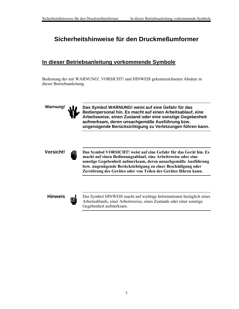### **Sicherheitshinweise für den Druckmeßumformer**

### **In dieser Betriebsanleitung vorkommende Symbole**

Bedeutung der mit WARNUNG!, VORSICHT! und HINWEIS gekennzeichneten Absätze in dieser Betriebsanleitung.



**Warnung! Das Symbol WARNUNG! weist auf eine Gefahr für das Bedienpersonal hin. Es macht auf einen Arbeitsablauf, eine Arbeitsweise, einen Zustand oder eine sonstige Gegebenheit aufmerksam, deren unsachgemäße Ausführung bzw. ungenügende Berücksichtigung zu Verletzungen führen kann.**

**Vorsicht! Das Symbol VORSICHT! weist auf eine Gefahr für das Gerät hin. Es macht auf einen Bedienungsablauf, eine Arbeitsweise oder eine sonstige Gegebenheit aufmerksam, deren unsachgemäße Ausführung bzw. ungenügende Berücksichtigung zu einer Beschädigung oder Zerstörung des Gerätes oder von Teilen des Gerätes führen kann.**



**Hinweis** Das Symbol HINWEIS macht auf wichtige Informationen bezüglich eines Arbeitsablaufs, einer Arbeitsweise, eines Zustands oder einer sonstige Gegebenheit aufmerksam.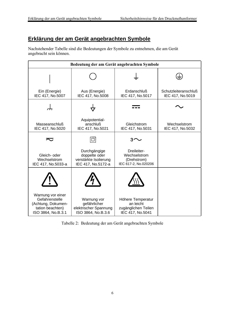### **Erklärung der am Gerät angebrachten Symbole**

Nachstehender Tabelle sind die Bedeutungen der Symbole zu entnehmen, die am Gerät angebracht sein können.

| Bedeutung der am Gerät angebrachten Symbole                                                         |                                                                              |                                                                           |                                                 |
|-----------------------------------------------------------------------------------------------------|------------------------------------------------------------------------------|---------------------------------------------------------------------------|-------------------------------------------------|
|                                                                                                     |                                                                              |                                                                           |                                                 |
| Ein (Energie)<br>IEC 417, No.5007                                                                   | Aus (Energie)<br>IEC 417, No.5008                                            | Erdanschluß<br>IEC 417, No.5017                                           | <b>Schutzleiteranschluß</b><br>IEC 417, No.5019 |
|                                                                                                     |                                                                              |                                                                           |                                                 |
| Masseanschluß<br>IEC 417, No.5020                                                                   | Aquipotential-<br>anschluß<br>IEC 417, No.5021                               | Gleichstrom<br>IEC 417, No.5031                                           | Wechselstrom<br>IEC 417, No.5032                |
|                                                                                                     |                                                                              | 31                                                                        |                                                 |
| Gleich- oder<br>Wechselstrom<br>IEC 417, No.5033-a                                                  | Durchgängige<br>doppelte oder<br>verstärkte Isolierung<br>IEC 417, No.5172-a | Dreileiter-<br>Wechselstrom<br>(Drehstrom)<br>IEC 617-2, No.020206        |                                                 |
|                                                                                                     |                                                                              |                                                                           |                                                 |
| Warnung vor einer<br>Gefahrenstelle<br>(Achtung, Dokumen-<br>tation beachten)<br>ISO 3864, No.B.3.1 | Warnung vor<br>gefährlicher<br>elektrischer Spannung<br>ISO 3864, No.B.3.6   | Höhere Temperatur<br>an leicht<br>zugänglichen Teilen<br>IEC 417, No.5041 |                                                 |

Tabelle 2: Bedeutung der am Gerät angebrachten Symbole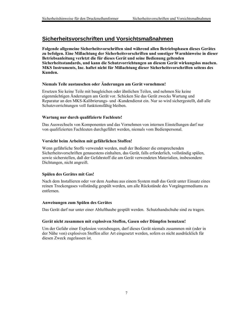### **Sicherheitsvorschriften und Vorsichtsmaßnahmen**

**Folgende allgemeine Sicherheitsvorschriften sind während allen Betriebsphasen dieses Gerätes zu befolgen. Eine Mißachtung der Sicherheitsvorschriften und sonstiger Warnhinweise in dieser Betriebsanleitung verletzt die für dieses Gerät und seine Bedienung geltenden Sicherheitsstandards, und kann die Schutzvorrichtungen an diesem Gerät wirkungslos machen. MKS Instruments, Inc. haftet nicht für Mißachtung dieser Sicherheitsvorschriften seitens des Kunden.**

#### **Niemals Teile austauschen oder Änderungen am Gerät vornehmen!**

Ersetzen Sie keine Teile mit baugleichen oder ähnlichen Teilen, und nehmen Sie keine eigenmächtigen Änderungen am Gerät vor. Schicken Sie das Gerät zwecks Wartung und Reparatur an den MKS-Kalibrierungs- und -Kundendienst ein. Nur so wird sichergestellt, daß alle Schutzvorrichtungen voll funktionsfähig bleiben.

#### **Wartung nur durch qualifizierte Fachleute!**

Das Auswechseln von Komponenten und das Vornehmen von internen Einstellungen darf nur von qualifizierten Fachleuten durchgeführt werden, niemals vom Bedienpersonal.

#### **Vorsicht beim Arbeiten mit gefährlichen Stoffen!**

Wenn gefährliche Stoffe verwendet werden, muß der Bediener die entsprechenden Sicherheitsvorschriften genauestens einhalten, das Gerät, falls erforderlich, vollständig spülen, sowie sicherstellen, daß der Gefahrstoff die am Gerät verwendeten Materialien, insbesondere Dichtungen, nicht angreift.

#### **Spülen des Gerätes mit Gas!**

Nach dem Installieren oder vor dem Ausbau aus einem System muß das Gerät unter Einsatz eines reinen Trockengases vollständig gespült werden, um alle Rückstände des Vorgängermediums zu entfernen.

#### **Anweisungen zum Spülen des Gerätes**

Das Gerät darf nur unter einer Ablufthaube gespült werden. Schutzhandschuhe sind zu tragen.

#### **Gerät nicht zusammen mit explosiven Stoffen, Gasen oder Dämpfen benutzen!**

Um der Gefahr einer Explosion vorzubeugen, darf dieses Gerät niemals zusammen mit (oder in der Nähe von) explosiven Stoffen aller Art eingesetzt werden, sofern es nicht ausdrücklich für diesen Zweck zugelassen ist.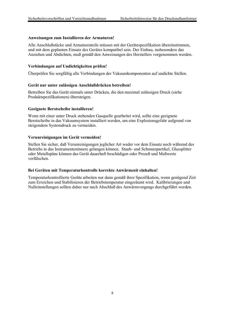#### **Anweisungen zum Installieren der Armaturen!**

Alle Anschlußstücke und Armaturenteile müssen mit der Gerätespezifikation übereinstimmen, und mit dem geplanten Einsatz des Gerätes kompatibel sein. Der Einbau, insbesondere das Anziehen und Abdichten, muß gemäß den Anweisungen des Herstellers vorgenommen werden.

#### **Verbindungen auf Undichtigkeiten prüfen!**

Überprüfen Sie sorgfältig alle Verbindungen der Vakuumkomponenten auf undichte Stellen.

#### **Gerät nur unter zulässigen Anschlußdrücken betreiben!**

Betreiben Sie das Gerät niemals unter Drücken, die den maximal zulässigen Druck (siehe Produktspezifikationen) übersteigen.

#### **Geeignete Berstscheibe installieren!**

Wenn mit einer unter Druck stehenden Gasquelle gearbeitet wird, sollte eine geeignete Berstscheibe in das Vakuumsystem installiert werden, um eine Explosionsgefahr aufgrund von steigendem Systemdruck zu vermeiden.

#### **Verunreinigungen im Gerät vermeiden!**

Stellen Sie sicher, daß Verunreinigungen jeglicher Art weder vor dem Einsatz noch während des Betriebs in das Instrumenteninnere gelangen können. Staub- und Schmutzpartikel, Glassplitter oder Metallspäne können das Gerät dauerhaft beschädigen oder Prozeß und Meßwerte verfälschen.

#### **Bei Geräten mit Temperaturkontrolle korrekte Anwärmzeit einhalten!**

Temperaturkontrollierte Geräte arbeiten nur dann gemäß ihrer Spezifikation, wenn genügend Zeit zum Erreichen und Stabilisieren der Betriebstemperatur eingeräumt wird. Kalibrierungen und Nulleinstellungen sollten daher nur nach Abschluß des Anwärmvorgangs durchgeführt werden.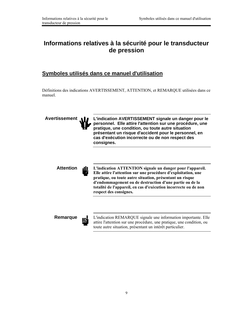### **Informations relatives à la sécurité pour le transducteur de pression**

### **Symboles utilisés dans ce manuel d'utilisation**

Définitions des indications AVERTISSEMENT, ATTENTION, et REMARQUE utilisées dans ce manuel.

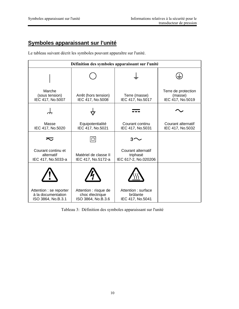### **Symboles apparaissant sur l'unité**

Le tableau suivant décrit les symboles pouvant apparaître sur l'unité.

| Définition des symboles apparaissant sur l'unité                    |                                                                |                                                        |                                                    |
|---------------------------------------------------------------------|----------------------------------------------------------------|--------------------------------------------------------|----------------------------------------------------|
|                                                                     |                                                                |                                                        |                                                    |
| Marche<br>(sous tension)<br>IEC 417, No.5007                        | Arrêt (hors tension)<br>IEC 417, No.5008                       | Terre (masse)<br>IEC 417, No.5017                      | Terre de protection<br>(masse)<br>IEC 417, No.5019 |
|                                                                     |                                                                |                                                        |                                                    |
| Masse<br>IEC 417, No.5020                                           | Equipotentialité<br>IEC 417, No.5021                           | Courant continu<br>IEC 417, No.5031                    | Courant alternatif<br>IEC 417, No.5032             |
|                                                                     |                                                                |                                                        |                                                    |
| Courant continu et<br>alternatif<br>IEC 417, No.5033-a              | Matériel de classe II<br>IEC 417, No.5172-a                    | Courant alternatif<br>triphasé<br>IEC 617-2, No.020206 |                                                    |
|                                                                     |                                                                |                                                        |                                                    |
| Attention : se reporter<br>à la documentation<br>ISO 3864, No.B.3.1 | Attention : risque de<br>choc électrique<br>ISO 3864, No.B.3.6 | Attention: surface<br>brûlante<br>IEC 417, No.5041     |                                                    |

Tableau 3: Définition des symboles apparaissant sur l'unité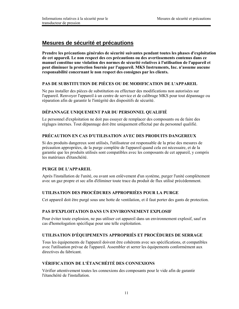### **Mesures de sécurité et précautions**

**Prendre les précautions générales de sécurité suivantes pendant toutes les phases d'exploitation de cet appareil. Le non respect des ces précautions ou des avertissements contenus dans ce manuel constitue une violation des normes de sécurité relatives à l'utilisation de l'appareil et peut diminuer la protection fournie par l'appareil. MKS Instruments, Inc. n'assume aucune responsabilité concernant le non respect des consignes par les clients.**

#### **PAS DE SUBSTITUTION DE PIÈCES OU DE MODIFICATION DE L'APPAREIL**

Ne pas installer des pièces de substitution ou effectuer des modifications non autorisées sur l'appareil. Renvoyer l'appareil à un centre de service et de calibrage MKS pour tout dépannage ou réparation afin de garantir le l'intégrité des dispositifs de sécurité.

#### **DÉPANNAGE UNIQUEMENT PAR DU PERSONNEL QUALIFIÉ**

Le personnel d'exploitation ne doit pas essayer de remplacer des composants ou de faire des réglages internes. Tout dépannage doit être uniquement effectué par du personnel qualifié.

#### **PRÉCAUTION EN CAS D'UTILISATION AVEC DES PRODUITS DANGEREUX**

Si des produits dangereux sont utilisés, l'utilisateur est responsable de la prise des mesures de précaution appropriées, de la purge complète de l'appareil quand cela est nécessaire, et de la garantie que les produits utilisés sont compatibles avec les composants de cet appareil, y compris les matériaux d'étanchéité.

#### **PURGE DE L'APPAREIL**

Après l'installation de l'unité, ou avant son enlèvement d'un système, purger l'unité complètement avec un gaz propre et sec afin d'éliminer toute trace du produit de flux utilisé précédemment.

#### **UTILISATION DES PROCÉDURES APPROPRIÉES POUR LA PURGE**

Cet appareil doit être purgé sous une hotte de ventilation, et il faut porter des gants de protection.

#### **PAS D'EXPLOITATION DANS UN ENVIRONNEMENT EXPLOSIF**

Pour éviter toute explosion, ne pas utiliser cet appareil dans un environnement explosif, sauf en cas d'homologation spécifique pour une telle exploitation.

#### **UTILISATION D'ÉQUIPEMENTS APPROPRIÉS ET PROCÉDURES DE SERRAGE**

Tous les équipements de l'appareil doivent être cohérents avec ses spécifications, et compatibles avec l'utilisation prévue de l'appareil. Assembler et serrer les équipements conformément aux directives du fabricant.

#### **VÉRIFICATION DE L'ÉTANCHÉITÉ DES CONNEXIONS**

Vérifier attentivement toutes les connexions des composants pour le vide afin de garantir l'étanchéité de l'installation.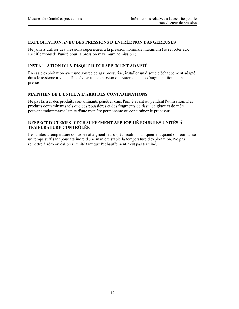#### **EXPLOITATION AVEC DES PRESSIONS D'ENTRÉE NON DANGEREUSES**

Ne jamais utiliser des pressions supérieures à la pression nominale maximum (se reporter aux spécifications de l'unité pour la pression maximum admissible).

#### **INSTALLATION D'UN DISQUE D'ÉCHAPPEMENT ADAPTÉ**

En cas d'exploitation avec une source de gaz pressurisé, installer un disque d'échappement adapté dans le système à vide, afin d'éviter une explosion du système en cas d'augmentation de la pression.

#### **MAINTIEN DE L'UNITÉ À L'ABRI DES CONTAMINATIONS**

Ne pas laisser des produits contaminants pénétrer dans l'unité avant ou pendant l'utilisation. Des produits contaminants tels que des poussières et des fragments de tissu, de glace et de métal peuvent endommager l'unité d'une manière permanente ou contaminer le processus.

#### **RESPECT DU TEMPS D'ÉCHAUFFEMENT APPROPRIÉ POUR LES UNITÉS Á TEMPÉRATURE CONTRÔLÉE**

Les unités à température contrôlée atteignent leurs spécifications uniquement quand on leur laisse un temps suffisant pour atteindre d'une manière stable la température d'exploitation. Ne pas remettre à zéro ou calibrer l'unité tant que l'échauffement n'est pas terminé.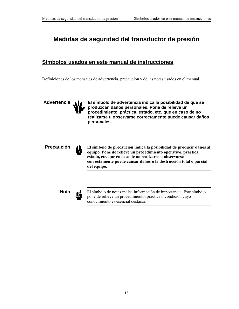### **Medidas de seguridad del transductor de presión**

### **Símbolos usados en este manual de instrucciones**

Definiciones de los mensajes de advertencia, precaución y de las notas usados en el manual.

**Advertencia El símbolo de advertencia indica la posibilidad de que se produzcan daños personales. Pone de relieve un procedimiento, práctica, estado, etc. que en caso de no realizarse u observarse correctamente puede causar daños personales.**



**Precaución El símbolo de precaución indica la posibilidad de producir daños al equipo. Pone de relieve un procedimiento operativo, práctica, estado, etc. que en caso de no realizarse u observarse correctamente puede causar daños o la destrucción total o parcial del equipo.**



Nota **II** El símbolo de notas indica información de importancia. Este símbolo pone de relieve un procedimiento, práctica o condición cuyo conocimiento es esencial destacar.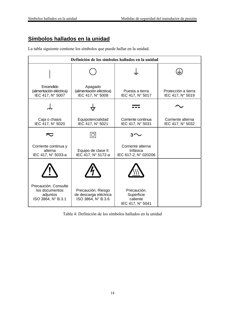### **Símbolos hallados en la unidad**

La tabla siguiente contiene los símbolos que puede hallar en la unidad.

| Definición de los símbolos hallados en la unidad                         |                                                                   |                                                           |                                         |
|--------------------------------------------------------------------------|-------------------------------------------------------------------|-----------------------------------------------------------|-----------------------------------------|
|                                                                          |                                                                   |                                                           |                                         |
| Encendido<br>(alimentación eléctrica)<br>IEC 417, N° 5007                | Apagado<br>(alimentación eléctrica)<br>IEC 417, N° 5008           | Puesta a tierra<br>IEC 417, N° 5017                       | Protección a tierra<br>IEC 417, N° 5019 |
|                                                                          |                                                                   |                                                           |                                         |
| Caja o chasis<br>IEC 417, N° 5020                                        | Equipotencialidad<br>IEC 417, N° 5021                             | Corriente continua<br>IEC 417, N° 5031                    | Corriente alterna<br>IEC 417, N° 5032   |
|                                                                          |                                                                   |                                                           |                                         |
| Corriente continua y<br>alterna<br>IEC 417, N° 5033-a                    | Equipo de clase II<br>IEC 417, N° 5172-a                          | Corriente alterna<br>trifásica<br>IEC 617-2, N° 020206    |                                         |
|                                                                          |                                                                   |                                                           |                                         |
| Precaución, Consulte<br>los documentos<br>adjuntos<br>ISO 3864, N° B.3.1 | Precaución. Riesgo<br>de descarga eléctrica<br>ISO 3864, N° B.3.6 | Precaución.<br>Superficie<br>caliente<br>IEC 417, N° 5041 |                                         |

Tabla 4: Definición de los símbolos hallados en la unidad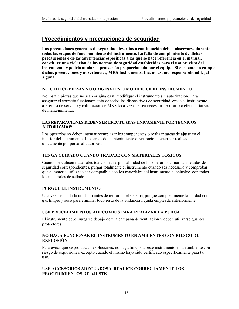### **Procedimientos y precauciones de seguridad**

**Las precauciones generales de seguridad descritas a continuación deben observarse durante todas las etapas de funcionamiento del instrumento. La falta de cumplimiento de dichas precauciones o de las advertencias específicas a las que se hace referencia en el manual, constituye una violación de las normas de seguridad establecidas para el uso previsto del instrumento y podría anular la protección proporcionada por el equipo. Si el cliente no cumple dichas precauciones y advertencias, MKS Instruments, Inc. no asume responsabilidad legal alguna.**

#### **NO UTILICE PIEZAS NO ORIGINALES O MODIFIQUE EL INSTRUMENTO**

No instale piezas que no sean originales ni modifique el instrumento sin autorización. Para asegurar el correcto funcionamiento de todos los dispositivos de seguridad, envíe el instrumento al Centro de servicio y calibración de MKS toda vez que sea necesario repararlo o efectuar tareas de mantenimiento.

#### **LAS REPARACIONES DEBEN SER EFECTUADAS ÚNICAMENTE POR TÉCNICOS AUTORIZADOS**

Los operarios no deben intentar reemplazar los componentes o realizar tareas de ajuste en el interior del instrumento. Las tareas de mantenimiento o reparación deben ser realizadas únicamente por personal autorizado.

#### **TENGA CUIDADO CUANDO TRABAJE CON MATERIALES TÓXICOS**

Cuando se utilicen materiales tóxicos, es responsabilidad de los operarios tomar las medidas de seguridad correspondientes, purgar totalmente el instrumento cuando sea necesario y comprobar que el material utilizado sea compatible con los materiales del instrumento e inclusive, con todos los materiales de sellado.

#### **PURGUE EL INSTRUMENTO**

Una vez instalada la unidad o antes de retirarla del sistema, purgue completamente la unidad con gas limpio y seco para eliminar todo resto de la sustancia líquida empleada anteriormente.

#### **USE PROCEDIMIENTOS ADECUADOS PARA REALIZAR LA PURGA**

El instrumento debe purgarse debajo de una campana de ventilación y deben utilizarse guantes protectores.

#### **NO HAGA FUNCIONAR EL INSTRUMENTO EN AMBIENTES CON RIESGO DE EXPLOSIÓN**

Para evitar que se produzcan explosiones, no haga funcionar este instrumento en un ambiente con riesgo de explosiones, excepto cuando el mismo haya sido certificado específicamente para tal uso.

#### **USE ACCESORIOS ADECUADOS Y REALICE CORRECTAMENTE LOS PROCEDIMIENTOS DE AJUSTE**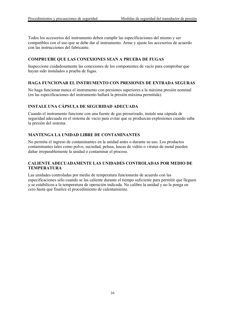Todos los accesorios del instrumento deben cumplir las especificaciones del mismo y ser compatibles con el uso que se debe dar al instrumento. Arme y ajuste los accesorios de acuerdo con las instrucciones del fabricante.

#### **COMPRUEBE QUE LAS CONEXIONES SEAN A PRUEBA DE FUGAS**

Inspeccione cuidadosamente las conexiones de los componentes de vacío para comprobar que hayan sido instalados a prueba de fugas.

#### **HAGA FUNCIONAR EL INSTRUMENTO CON PRESIONES DE ENTRADA SEGURAS**

No haga funcionar nunca el instrumento con presiones superiores a la máxima presión nominal (en las especificaciones del instrumento hallará la presión máxima permitida).

#### **INSTALE UNA CÁPSULA DE SEGURIDAD ADECUADA**

Cuando el instrumento funcione con una fuente de gas presurizado, instale una cápsula de seguridad adecuada en el sistema de vacío para evitar que se produzcan explosiones cuando suba la presión del sistema.

#### **MANTENGA LA UNIDAD LIBRE DE CONTAMINANTES**

No permita el ingreso de contaminantes en la unidad antes o durante su uso. Los productos contaminantes tales como polvo, suciedad, pelusa, lascas de vidrio o virutas de metal pueden dañar irreparablemente la unidad o contaminar el proceso.

#### **CALIENTE ADECUADAMENTE LAS UNIDADES CONTROLADAS POR MEDIO DE TEMPERATURA**

Las unidades controladas por medio de temperatura funcionarán de acuerdo con las especificaciones sólo cuando se las caliente durante el tiempo suficiente para permitir que lleguen y se estabilicen a la temperatura de operación indicada. No calibre la unidad y no la ponga en cero hasta que finalice el procedimiento de calentamiento.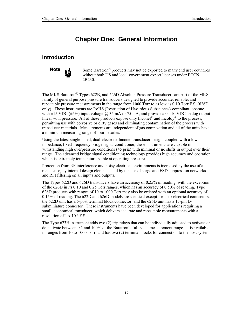## **Chapter One: General Information**

### **Introduction**

**Note** Some Baratron<sup>®</sup> products may not be exported to many end user countries without both US and local government export licenses under ECCN 2B230.

The MKS Baratron® Types 622B, and 626D Absolute Pressure Transducers are part of the MKS family of general purpose pressure transducers designed to provide accurate, reliable, and repeatable pressure measurements in the range from 1000 Torr to as low as 0.10 Torr F.S. (626D only). These instruments are RoHS (Restriction of Hazardous Substances)-compliant, operate with  $\pm 15$  VDC ( $\pm 5\%$ ) input voltage @ 35 mA or 75 mA, and provide a 0 - 10 VDC analog output linear with pressure. All of these products expose only Inconel® and Incoloy® to the process, permitting use with corrosive or dirty gases and eliminating contamination of the process with transducer materials. Measurements are independent of gas composition and all of the units have a minimum measuring range of four decades.

Using the latest single-sided, dual-electrode Inconel transducer design, coupled with a low impedance, fixed-frequency bridge signal conditioner, these instruments are capable of withstanding high overpressure conditions (45 psia) with minimal or no shifts in output over their range. The advanced bridge signal conditioning technology provides high accuracy and operation which is extremely temperature-stable at operating pressure.

Protection from RF interference and noisy electrical environments is increased by the use of a metal case, by internal design elements, and by the use of surge and ESD suppression networks and RFI filtering on all inputs and outputs.

The Types 622D and 626D transducers have an accuracy of 0.25% of reading, with the exception of the 626D in its 0.10 and 0.25 Torr ranges, which has an accuracy of 0.50% of reading. Type 626D products with ranges of 10 to 1000 Torr may also be ordered with an optional accuracy of 0.15% of reading. The 622D and 626D models are identical except for their electrical connectors; the 622D unit has a 5-post terminal block connector, and the 626D unit has a 15-pin Dsubminiature connector. These instruments have been developed for applications requiring a small, economical transducer, which delivers accurate and repeatable measurements with a resolution of  $1 \times 10^{-4}$  F.S.

The Type 623H instrument adds two (2) trip relays that can be individually adjusted to activate or de-activate between 0.1 and 100% of the Baratron's full-scale measurement range. It is available in ranges from 10 to 1000 Torr, and has two (2) terminal blocks for connection to the host system.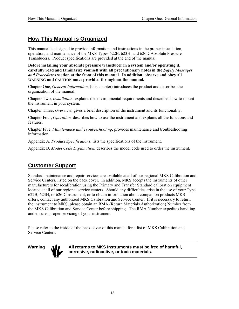### **How This Manual is Organized**

This manual is designed to provide information and instructions in the proper installation, operation, and maintenance of the MKS Types 622B, 623H, and 626D Absolute Pressure Transducers. Product specifications are provided at the end of the manual.

**Before installing your absolute pressure transducer in a system and/or operating it, carefully read and familiarize yourself with all precautionary notes in the** *Safety Messages and Procedures* **section at the front of this manual. In addition, observe and obey all WARNING and CAUTION notes provided throughout the manual.**

Chapter One, *General Information*, (this chapter) introduces the product and describes the organization of the manual.

Chapter Two, *Installation*, explains the environmental requirements and describes how to mount the instrument in your system.

Chapter Three, *Overview*, gives a brief description of the instrument and its functionality.

Chapter Four, *Operation,* describes how to use the instrument and explains all the functions and features.

Chapter Five, *Maintenance and Troubleshooting*, provides maintenance and troubleshooting information.

Appendix A, *Product Specifications*, lists the specifications of the instrument.

Appendix B, *Model Code Explanation,* describes the model code used to order the instrument.

### **Customer Support**

Standard maintenance and repair services are available at all of our regional MKS Calibration and Service Centers, listed on the back cover. In addition, MKS accepts the instruments of other manufacturers for recalibration using the Primary and Transfer Standard calibration equipment located at all of our regional service centers. Should any difficulties arise in the use of your Type 622B, 623H, or 626D instrument, or to obtain information about companion products MKS offers, contact any authorized MKS Calibration and Service Center. If it is necessary to return the instrument to MKS, please obtain an RMA (Return Materials Authorization) Number from the MKS Calibration and Service Center before shipping. The RMA Number expedites handling and ensures proper servicing of your instrument.

Please refer to the inside of the back cover of this manual for a list of MKS Calibration and Service Centers.



**Warning All returns to MKS Instruments must be free of harmful, corrosive, radioactive, or toxic materials.**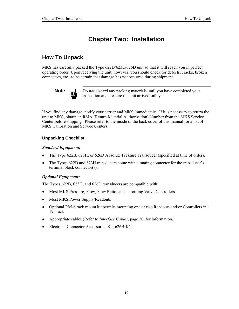### **Chapter Two: Installation**

### **How To Unpack**

MKS has carefully packed the Type 622D/623C/626D unit so that it will reach you in perfect operating order. Upon receiving the unit, however, you should check for defects, cracks, broken connectors, etc., to be certain that damage has not occurred during shipment.

**Note**  $\prod_{n=1}^{\infty}$  Do *not* discard any packing materials until you have completed your inspection and are sure the unit arrived safely.

If you find any damage, notify your carrier and MKS immediately. If it is necessary to return the unit to MKS, obtain an RMA (Return Material Authorization) Number from the MKS Service Center before shipping. Please refer to the inside of the back cover of this manual for a list of MKS Calibration and Service Centers.

#### **Unpacking Checklist**

#### *Standard Equipment:*

- The Type 622B, 623H, or 626D Absolute Pressure Transducer (specified at time of order).
- The Types 622D and 623H transducers come with a mating connector for the transducer's terminal block connector(s).

#### *Optional Equipment:*

The Types 622B, 623H, and 626D transducers are compatible with:

- Most MKS Pressure, Flow, Flow Ratio, and Throttling Valve Controllers
- Most MKS Power Supply/Readouts
- Optional RM-6 rack mount kit permits mounting one or two Readouts and/or Controllers in a  $19"$  rack
- Appropriate cables (Refer to *Interface Cables*, page 20, for information.)
- Electrical Connector Accessories Kit, 626B-K1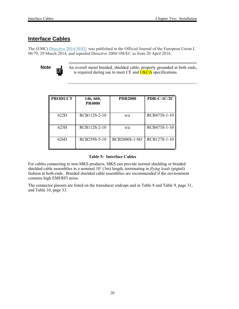### **Interface Cables**

The (EMC) [Directive 2014/30/EU](http://eur-lex.europa.eu/legal-content/EN/TXT/?uri=CELEX:32014L0030&locale=en) was published in the Official Journal of the European Union L 96/79, 29 March 2014, and repealed Directive 2004/108/EC as from 20 April 2016.



**Note**  $\prod_{i=1}^n$  An overall metal braided, shielded cable, properly grounded at both ends, is required during use to meet CE and **UKCA** specifications.

| <b>PRODUCT</b> | 146, 660,<br><b>PR4000</b> | <b>PDR2000</b> | <b>PDR-C-1C/2C</b> |
|----------------|----------------------------|----------------|--------------------|
| 622D           | RCB112S-2-10               | n/a            | RCB473S-1-10       |
| 623H           | RCB112S-2-10               | n/a            | RCB473S-1-10       |
| 626D           | RCB259S-5-10               | RCB2000S-1-M1  | RCB127S-1-10       |

#### **Table 5: Interface Cables**

For cables connecting to non-MKS products, MKS can provide normal shielding or braided shielded cable assemblies in a nominal 10' (3m) length, terminating in *flying leads* (pigtail) fashion at both ends. Braided shielded cable assemblies are recommended if the environment contains high EMI/RFI noise.

The connector pinouts are listed on the transducer endcaps and in Table 8 and Table 9, page 31, and Table 10, page 33.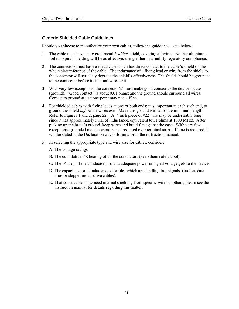#### **Generic Shielded Cable Guidelines**

Should you choose to manufacture your own cables, follow the guidelines listed below:

- 1. The cable must have an overall metal *braided* shield, covering all wires. Neither aluminum foil nor spiral shielding will be as effective; using either may nullify regulatory compliance.
- 2. The connectors must have a metal case which has direct contact to the cable's shield on the whole circumference of the cable. The inductance of a flying lead or wire from the shield to the connector will seriously degrade the shield's effectiveness. The shield should be grounded to the connector before its internal wires exit.
- 3. With very few exceptions, the connector(s) must make good contact to the device's case (ground). "Good contact" is about 0.01 ohms; and the ground should surround all wires. Contact to ground at just one point may not suffice.
- 4. For shielded cables with flying leads at one or both ends; it is important at each such end, to ground the shield *before* the wires exit. Make this ground with absolute minimum length. Refer to Figures 1 and 2, page 22. (A  $\frac{1}{4}$  inch piece of #22 wire may be undesirably long since it has approximately 5 nH of inductance, equivalent to 31 ohms at 1000 MHz). After picking up the braid's ground, keep wires and braid flat against the case. With very few exceptions, grounded metal covers are not required over terminal strips. If one is required, it will be stated in the Declaration of Conformity or in the instruction manual.
- 5. In selecting the appropriate type and wire size for cables, consider:
	- A. The voltage ratings.
	- B. The cumulative I<sup>2</sup>R heating of all the conductors (keep them safely cool).
	- C. The IR drop of the conductors, so that adequate power or signal voltage gets to the device.
	- D. The capacitance and inductance of cables which are handling fast signals, (such as data lines or stepper motor drive cables).
	- E. That some cables may need internal shielding from specific wires to others; please see the instruction manual for details regarding this matter.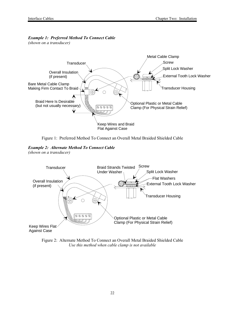### *Example 1: Preferred Method To Connect Cable*

*(shown on a transducer)*



Figure 1: Preferred Method To Connect an Overall Metal Braided Shielded Cable

*Example 2: Alternate Method To Connect Cable*





Figure 2: Alternate Method To Connect an Overall Metal Braided Shielded Cable *Use this method when cable clamp is not available*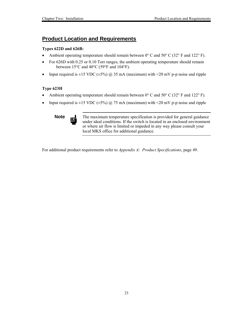### **Product Location and Requirements**

#### **Types 622D and 626B:**

- Ambient operating temperature should remain between  $0^{\circ}$  C and  $50^{\circ}$  C (32 $^{\circ}$  F and 122 $^{\circ}$  F).
- For 626D with 0.25 or 0.10 Torr ranges, the ambient operating temperature should remain between 15°C and 40°C (59°F and 104°F).
- Input required is  $\pm 15$  VDC ( $\pm 5\%$ ) @ 35 mA (maximum) with <20 mV p-p noise and ripple

#### **Type 623H**

- Ambient operating temperature should remain between  $0^{\circ}$  C and  $50^{\circ}$  C (32° F and 122° F).
- Input required is  $\pm 15$  VDC ( $\pm 5\%$ ) @ 75 mA (maximum) with <20 mV p-p noise and ripple



**Note** The maximum temperature specification is provided for general guidance<br>under ideal conditions. If the switch is located in an enclosed environment under ideal conditions. If the switch is located in an enclosed environment or where air flow is limited or impeded in any way please consult your local MKS office for additional guidance.

For additional product requirements refer to *Appendix A: Product Specifications*, page 49.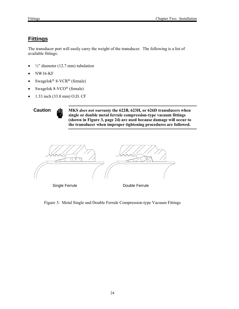### **Fittings**

The transducer port will easily carry the weight of the transducer. The following is a list of available fittings:

- $\frac{1}{2}$ " diameter (12.7 mm) tubulation
- NW16-KF
- Swagelok® 8-VCR® (female)
- Swagelok 8-VCO<sup>®</sup> (female)
- 1.33 inch (33.8 mm) O.D. CF



**Caution MKS** *does not warranty* **the 622B, 623H, or 626D transducers when single or double metal ferrule compression-type vacuum fittings (shown in Figure 3, page 24) are used because damage will occur to the transducer when improper tightening procedures are followed.** 



Figure 3: Metal Single and Double Ferrule Compression-type Vacuum Fittings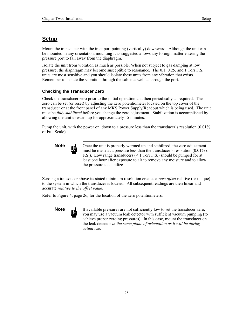### **Setup**

Mount the transducer with the inlet port pointing (vertically) downward. Although the unit can be mounted in any orientation, mounting it as suggested allows any foreign matter entering the pressure port to fall away from the diaphragm.

Isolate the unit from vibration as much as possible. When not subject to gas damping at low pressure, the diaphragm may become susceptible to resonance. The 0.1, 0.25, and 1 Torr F.S. units are most sensitive and you should isolate these units from any vibration that exists. Remember to isolate the vibration through the cable as well as through the port.

#### **Checking the Transducer Zero**

Check the transducer zero prior to the initial operation and then periodically as required. The zero can be set (or reset) by adjusting the zero potentiometer located on the top cover of the transducer or at the front panel of any MKS Power Supply/Readout which is being used. The unit must be *fully stabilized* before you change the zero adjustment. Stabilization is accomplished by allowing the unit to warm up for approximately 15 minutes.

Pump the unit, with the power on, down to a pressure less than the transducer's resolution (0.01%) of Full Scale).



**Note I** Once the unit is properly warmed up and stabilized, the zero adjustment must be made at a pressure less than the transducer's resolution (0.01% of F.S.). Low range transducers (< 1 Torr F.S.) should be pumped for at least one hour after exposure to air to remove any moisture and to allow the pressure to stabilize.

Zeroing a transducer above its stated minimum resolution creates a *zero offset* relative (or unique) to the system in which the transducer is located. All subsequent readings are then linear and accurate *relative to the offset value*.

Refer to Figure 4, page 26, for the location of the zero potentiometers.



**Note If** available pressures are not sufficiently low to set the transducer zero, you may use a vacuum leak detector with sufficient vacuum pumping (to achieve proper zeroing pressures). In this case, mount the transducer on the leak detector *in the same plane of orientation as it will be during actual use*.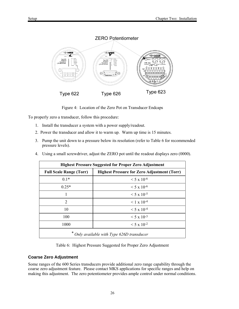

Figure 4: Location of the Zero Pot on Transducer Endcaps

To properly zero a transducer, follow this procedure:

- 1. Install the transducer a system with a power supply/readout.
- 2. Power the transducer and allow it to warm up. Warm up time is 15 minutes.
- 3. Pump the unit down to a pressure below its resolution (refer to Table 6 for recommended pressure levels).
- 4. Using a small screwdriver, adjust the ZERO pot until the readout displays zero (0000).

| <b>Highest Pressure Suggested for Proper Zero Adjustment</b> |                                                    |  |
|--------------------------------------------------------------|----------------------------------------------------|--|
| <b>Full Scale Range (Torr)</b>                               | <b>Highest Pressure for Zero Adjustment (Torr)</b> |  |
| $0.1*$                                                       | $< 5 \times 10^{-6}$                               |  |
| $0.25*$                                                      | $< 5 \times 10^{-6}$                               |  |
| 1                                                            | $< 5 \times 10^{-5}$                               |  |
| 2                                                            | $< 1 \times 10^{-4}$                               |  |
| 10                                                           | $< 5 \times 10^{-4}$                               |  |
| 100                                                          | $< 5 \times 10^{-3}$                               |  |
| 1000                                                         | $< 5 \times 10^{-2}$                               |  |
| Only available with Type 626D transducer                     |                                                    |  |

Table 6: Highest Pressure Suggested for Proper Zero Adjustment

#### **Coarse Zero Adjustment**

Some ranges of the 600 Series transducers provide additional zero range capability through the coarse zero adjustment feature. Please contact MKS applications for specific ranges and help on making this adjustment. The zero potentiometer provides ample control under normal conditions.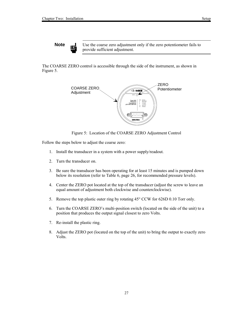**Note** Use the coarse zero adjustment only if the zero potentiometer fails to provide sufficient adjustment.

The COARSE ZERO control is accessible through the side of the instrument, as shown in Figure 5.



Figure 5: Location of the COARSE ZERO Adjustment Control

Follow the steps below to adjust the coarse zero:

- 1. Install the transducer in a system with a power supply/readout.
- 2. Turn the transducer on.
- 3. Be sure the transducer has been operating for at least 15 minutes and is pumped down below its resolution (refer to Table 6, page 26, for recommended pressure levels).
- 4. Center the ZERO pot located at the top of the transducer (adjust the screw to leave an equal amount of adjustment both clockwise and counterclockwise).
- 5. Remove the top plastic outer ring by rotating 45° CCW for 626D 0.10 Torr only.
- 6. Turn the COARSE ZERO's multi-position switch (located on the side of the unit) to a position that produces the output signal closest to zero Volts.
- 7. Re-install the plastic ring.
- 8. Adjust the ZERO pot (located on the top of the unit) to bring the output to exactly zero Volts.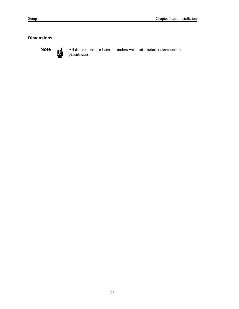### **Dimensions**



**Note** All dimensions are listed in inches with millimeters referenced in parentheses. parentheses.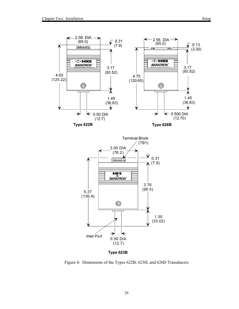

Figure 6: Dimensions of the Types 622B, 623H, and 626D Transducers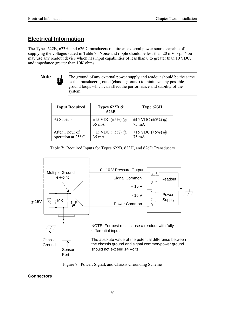### **Electrical Information**

The Types 622B, 623H, and 626D transducers require an external power source capable of supplying the voltages stated in Table 7. Noise and ripple should be less than 20 mV p-p. You may use any readout device which has input capabilities of less than 0 to greater than 10 VDC, and impedance greater than 10K ohms.



**Note I** The ground of any external power supply and readout should be the same as the transducer ground (chassis ground) to minimize any possible ground loops which can affect the performance and stability of the system.

| <b>Input Required</b>                 | Types $622D \&$<br>626B                                    | Type 623H                                        |
|---------------------------------------|------------------------------------------------------------|--------------------------------------------------|
| At Startup                            | $\pm 15$ VDC ( $\pm 5\%$ ) ( <i>a</i> )<br>$35 \text{ mA}$ | $\pm 15$ VDC ( $\pm 5\%$ ) @<br>75 mA            |
| After 1 hour of<br>operation at 25° C | $\pm 15$ VDC ( $\pm 5\%$ ) @<br>$35 \text{ mA}$            | $\pm 15$ VDC ( $\pm 5\%$ ) ( <i>a</i> )<br>75 mA |







**Connectors**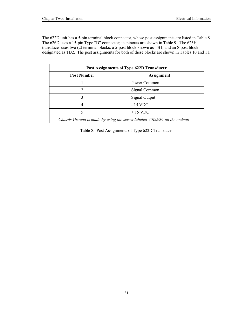The 622D unit has a 5-pin terminal block connector, whose post assignments are listed in Table 8. The 626D uses a 15-pin Type "D" connector; its pinouts are shown in Table 9. The 623H transducer uses two (2) terminal blocks: a 5-post block known as TB1, and an 8-post block designated as TB2. The post assignments for both of these blocks are shown in Tables 10 and 11.

| Post Assignments of Type 622D Transducer                                |                   |  |
|-------------------------------------------------------------------------|-------------------|--|
| <b>Post Number</b>                                                      | <b>Assignment</b> |  |
|                                                                         | Power Common      |  |
| $\mathcal{D}_{\mathcal{L}}$                                             | Signal Common     |  |
|                                                                         | Signal Output     |  |
|                                                                         | - 15 VDC          |  |
|                                                                         | $+15$ VDC         |  |
| Chassis Ground is made by using the screw labeled CHASSIS on the endcap |                   |  |

Table 8: Post Assignments of Type 622D Transducer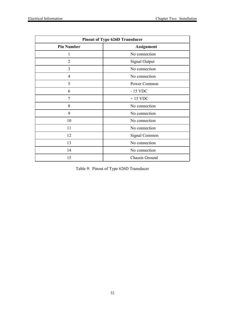| <b>Pinout of Type 626D Transducer</b> |                      |
|---------------------------------------|----------------------|
| <b>Pin Number</b>                     | Assignment           |
|                                       | No connection        |
| $\overline{2}$                        | <b>Signal Output</b> |
| 3                                     | No connection        |
| 4                                     | No connection        |
| 5                                     | Power Common         |
| 6                                     | $-15$ VDC            |
| 7                                     | $+15$ VDC            |
| 8                                     | No connection        |
| 9                                     | No connection        |
| 10                                    | No connection        |
| 11                                    | No connection        |
| 12                                    | Signal Common        |
| 13                                    | No connection        |
| 14                                    | No connection        |
| 15                                    | Chassis Ground       |

Table 9: Pinout of Type 626D Transducer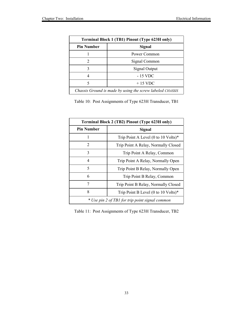| Terminal Block 1 (TB1) Pinout (Type 623H only)            |               |  |
|-----------------------------------------------------------|---------------|--|
| <b>Pin Number</b>                                         | Signal        |  |
|                                                           | Power Common  |  |
| 2                                                         | Signal Common |  |
| 3                                                         | Signal Output |  |
|                                                           | - 15 VDC      |  |
| $+15$ VDC<br>5                                            |               |  |
| Chassis Ground is made by using the screw labeled CHASSIS |               |  |

Table 10: Post Assignments of Type 623H Transducer, TB1

| Terminal Block 2 (TB2) Pinout (Type 623H only)  |                                     |
|-------------------------------------------------|-------------------------------------|
| <b>Pin Number</b>                               | Signal                              |
| 1                                               | Trip Point A Level (0 to 10 Volts)* |
| 2                                               | Trip Point A Relay, Normally Closed |
| 3                                               | Trip Point A Relay, Common          |
| 4                                               | Trip Point A Relay, Normally Open   |
| 5                                               | Trip Point B Relay, Normally Open   |
| 6                                               | Trip Point B Relay, Common          |
| 7                                               | Trip Point B Relay, Normally Closed |
| 8                                               | Trip Point B Level (0 to 10 Volts)* |
| * Use pin 2 of TB1 for trip point signal common |                                     |

Table 11: Post Assignments of Type 623H Transducer, TB2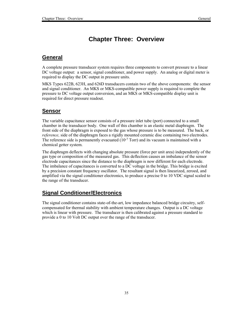### **Chapter Three: Overview**

### **General**

A complete pressure transducer system requires three components to convert pressure to a linear DC voltage output: a sensor, signal conditioner, and power supply. An analog or digital meter is required to display the DC output in pressure units.

MKS Types 622B, 623H, and 626D transducers contain two of the above components: the sensor and signal conditioner. An MKS or MKS-compatible power supply is required to complete the pressure to DC voltage output conversion, and an MKS or MKS-compatible display unit is required for direct pressure readout.

### **Sensor**

The variable capacitance sensor consists of a pressure inlet tube (port) connected to a small chamber in the transducer body. One wall of this chamber is an elastic metal diaphragm. The front side of the diaphragm is exposed to the gas whose pressure is to be measured. The back, or *reference,* side of the diaphragm faces a rigidly mounted ceramic disc containing two electrodes. The reference side is permanently evacuated  $(10^{-7}$  Torr) and its vacuum is maintained with a chemical getter system.

The diaphragm deflects with changing absolute pressure (force per unit area) independently of the gas type or composition of the measured gas. This deflection causes an imbalance of the sensor electrode capacitances since the distance to the diaphragm is now different for each electrode. The imbalance of capacitances is converted to a DC voltage in the bridge. This bridge is excited by a precision constant frequency oscillator. The resultant signal is then linearized, zeroed, and amplified via the signal conditioner electronics, to produce a precise 0 to 10 VDC signal scaled to the range of the transducer.

### **Signal Conditioner/Electronics**

The signal conditioner contains state-of-the-art, low impedance balanced bridge circuitry, selfcompensated for thermal stability with ambient temperature changes. Output is a DC voltage which is linear with pressure. The transducer is then calibrated against a pressure standard to provide a 0 to 10 Volt DC output over the range of the transducer.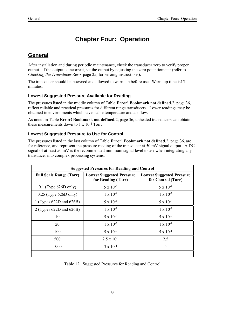## **Chapter Four: Operation**

### **General**

After installation and during periodic maintenance, check the transducer zero to verify proper output. If the output is incorrect, set the output by adjusting the zero potentiometer (refer to *Checking the Transducer Zero,* page 25, for zeroing instructions).

The transducer should be powered and allowed to warm up before use. Warm up time is15 minutes.

#### **Lowest Suggested Pressure Available for Reading**

The pressures listed in the middle column of Table **Error! Bookmark not defined.**2, page 36, reflect reliable and practical pressures for different range transducers. Lower readings may be obtained in environments which have stable temperature and air flow.

As noted in Table **Error! Bookmark not defined.**2, page 36, unheated transducers can obtain these measurements down to 1 x 10-4 Torr.

#### **Lowest Suggested Pressure to Use for Control**

The pressures listed in the last column of Table **Error! Bookmark not defined.**2, page 36, are for reference, and represent the pressure reading of the transducer at 50 mV signal output. A DC signal of at least  $50 \text{ mV}$  is the recommended minimum signal level to use when integrating any transducer into complex processing systems.

| <b>Suggested Pressures for Reading and Control</b> |                                                        |                                                        |
|----------------------------------------------------|--------------------------------------------------------|--------------------------------------------------------|
| <b>Full Scale Range (Torr)</b>                     | <b>Lowest Suggested Pressure</b><br>for Reading (Torr) | <b>Lowest Suggested Pressure</b><br>for Control (Torr) |
| $0.1$ (Type 626D only)                             | $5 \times 10^{-5}$                                     | $5 \times 10^{-4}$                                     |
| $0.25$ (Type 626D only)                            | $1 \times 10^{-4}$                                     | $1 \times 10^{-3}$                                     |
| 1 (Types 622D and 626B)                            | $5 \times 10^{-4}$                                     | $5 \times 10^{-3}$                                     |
| 2 (Types 622D and 626B)                            | $1 \times 10^{-3}$                                     | $1 \times 10^{-2}$                                     |
| 10                                                 | $5 \times 10^{-3}$                                     | $5 \times 10^{-2}$                                     |
| 20                                                 | $1 \times 10^{-3}$                                     | $1 \times 10^{-1}$                                     |
| 100                                                | $5 \times 10^{-2}$                                     | $5 \times 10^{-1}$                                     |
| 500                                                | $2.5 \times 10^{-1}$                                   | 2.5                                                    |
| 1000                                               | $5 \times 10^{-1}$                                     | 5                                                      |
|                                                    |                                                        |                                                        |

Table 12: Suggested Pressures for Reading and Control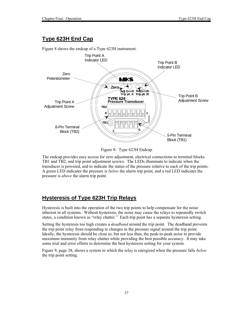### **Type 623H End Cap**

Figure 8 shows the endcap of a Type 623H instrument.



Figure 8: Type 623H Endcap

The endcap provides easy access for zero adjustment, electrical connections to terminal blocks TB1 and TB2, and trip point adjustment screws. The LEDs illuminate to indicate when the transducer is powered, and to indicate the status of the pressure relative to each of the trip points. A green LED indicates the pressure is *below* the alarm trip point, and a red LED indicates the pressure is *above* the alarm trip point.

### **Hysteresis of Type 623H Trip Relays**

Hysteresis is built into the operation of the two trip points to help compensate for the noise inherent in all systems. Without hysteresis, the noise may cause the relays to repeatedly switch states, a condition known as "relay chatter." Each trip point has a separate hysteresis setting.

Setting the hysteresis too high creates a *deadband* around the trip point. The deadband prevents the trip point relay from responding to changes in the pressure signal around the trip point. Ideally, the hysteresis should be close to, but not less than, the peak-to-peak noise to provide maximum immunity from relay chatter while providing the best possible accuracy. It may take some trial and error efforts to determine the best hysteresis setting for your system.

Figure 9, page 38, shows a system in which the relay is energized when the pressure falls *below* the trip point setting.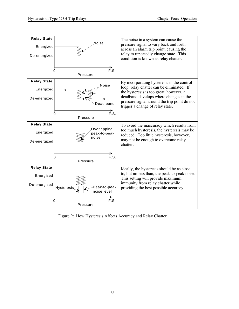| <b>Relay State</b><br>Energized<br>De-energized | Noise<br><del>&gt;</del><br>F.S.<br>0<br>Pressure                         | The noise in a system can cause the<br>pressure signal to vary back and forth<br>across an alarm trip point, causing the<br>relay to repeatedly change state. This<br>condition is known as relay chatter.                                                       |
|-------------------------------------------------|---------------------------------------------------------------------------|------------------------------------------------------------------------------------------------------------------------------------------------------------------------------------------------------------------------------------------------------------------|
| <b>Relay State</b><br>Energized<br>De-energized | Noise<br>Dead band<br>→<br>F.S.<br>0<br>Pressure                          | By incorporating hysteresis in the control<br>loop, relay chatter can be eliminated. If<br>the hysteresis is too great, however, a<br>deadband develops where changes in the<br>pressure signal around the trip point do not<br>trigger a change of relay state. |
| <b>Relay State</b><br>Energized<br>De-energized | Overlapping<br>peak-to-peak<br>noise<br>→<br>F.S.<br>0<br><b>Pressure</b> | To avoid the inaccuracy which results from<br>too much hysteresis, the hysteresis may be<br>reduced. Too little hysteresis, however,<br>may not be enough to overcome relay<br>chatter.                                                                          |
| <b>Relay State</b>                              |                                                                           |                                                                                                                                                                                                                                                                  |
| Energized<br>De-energized                       | Peak-to-peak<br><b>Hysteresis</b><br>noise level                          | Ideally, the hysteresis should be as close<br>to, but no less than, the peak-to-peak noise.<br>This setting will provide maximum<br>immunity from relay chatter while<br>providing the best possible accuracy.                                                   |
| 0                                               | F.S.<br>Pressure                                                          |                                                                                                                                                                                                                                                                  |

Figure 9: How Hysteresis Affects Accuracy and Relay Chatter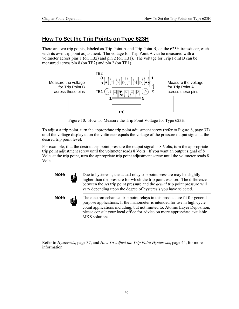### **How To Set the Trip Points on Type 623H**

There are two trip points, labeled as Trip Point A and Trip Point B, on the 623H transducer, each with its own trip point adjustment. The voltage for Trip Point A can be measured with a voltmeter across pins 1 (on TB2) and pin 2 (on TB1). The voltage for Trip Point B can be measured across pin 8 (on TB2) and pin 2 (on TB1).



Figure 10: How To Measure the Trip Point Voltage for Type 623H

To adjust a trip point, turn the appropriate trip point adjustment screw (refer to Figure 8, page 37) until the voltage displayed on the voltmeter equals the voltage of the pressure output signal at the desired trip point level.

For example, if at the desired trip point pressure the output signal is 8 Volts, turn the appropriate trip point adjustment screw until the voltmeter reads 8 Volts. If you want an output signal of 8 Volts at the trip point, turn the appropriate trip point adjustment screw until the voltmeter reads 8 Volts.

**Note D**ue to hysteresis, the actual relay trip point pressure may be slightly higher than the pressure for which the trip point was set. The difference between the *set* trip point pressure and the *actual* trip point pressure will vary depending upon the degree of hysteresis you have selected.

**Note**  $\mathbf{I}$  The electromechanical trip point relays in this product are fit for general purpose applications. If the manometer is intended for use in high cycle count applications including, but not limited to, Atomic Layer Deposition, please consult your local office for advice on more appropriate available MKS solutions.

Refer to *Hysteresis*, page 37, and *How To Adjust the Trip Point Hysteresis*, page 44, for more information.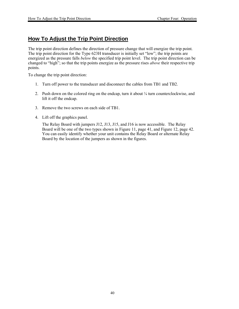### **How To Adjust the Trip Point Direction**

The trip point direction defines the direction of pressure change that will energize the trip point. The trip point direction for the Type 623H transducer is initially set "low"; the trip points are energized as the pressure falls *below* the specified trip point level. The trip point direction can be changed to "high"; so that the trip points energize as the pressure rises *above* their respective trip points.

To change the trip point direction:

- 1. Turn off power to the transducer and disconnect the cables from TB1 and TB2.
- 2. Push down on the colored ring on the endcap, turn it about  $\frac{1}{4}$  turn counterclockwise, and lift it off the endcap.
- 3. Remove the two screws on each side of TB1.
- 4. Lift off the graphics panel.

The Relay Board with jumpers J12, J13, J15, and J16 is now accessible. The Relay Board will be one of the two types shown in Figure 11, page 41, and Figure 12, page 42. You can easily identify whether your unit contains the Relay Board or alternate Relay Board by the location of the jumpers as shown in the figures.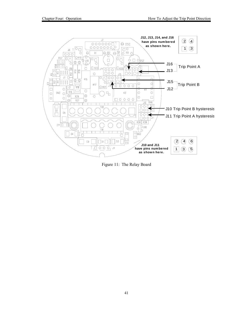

Figure 11: The Relay Board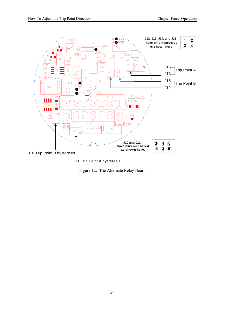

J11 Trip Point A hysteresis

Figure 12: The Alternate Relay Board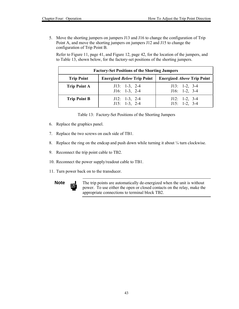5. Move the shorting jumpers on jumpers J13 and J16 to change the configuration of Trip Point A, and move the shorting jumpers on jumpers J12 and J15 to change the configuration of Trip Point B.

Refer to Figure 11, page 41, and Figure 12, page 42, for the location of the jumpers, and to Table 13, shown below, for the factory-set positions of the shorting jumpers.

| <b>Factory-Set Positions of the Shorting Jumpers</b> |                                    |                                    |
|------------------------------------------------------|------------------------------------|------------------------------------|
| <b>Trip Point</b>                                    | <b>Energized Below Trip Point</b>  | <b>Energized Above Trip Point</b>  |
| <b>Trip Point A</b>                                  | $J13: 1-3, 2-4$<br>$J16: 1-3, 2-4$ | $J13: 1-2, 3-4$<br>$J16: 1-2, 3-4$ |
| <b>Trip Point B</b>                                  | $J12: 1-3, 2-4$<br>$J15: 1-3, 2-4$ | $J12: 1-2, 3-4$<br>$J15: 1-2, 3-4$ |

| Table 13: Factory-Set Positions of the Shorting Jumpers |  |  |  |  |
|---------------------------------------------------------|--|--|--|--|
|---------------------------------------------------------|--|--|--|--|

- 6. Replace the graphics panel.
- 7. Replace the two screws on each side of TB1.
- 8. Replace the ring on the endcap and push down while turning it about  $\frac{1}{4}$  turn clockwise.
- 9. Reconnect the trip point cable to TB2.
- 10. Reconnect the power supply/readout cable to TB1.
- 11. Turn power back on to the transducer.

**Note** The trip points are automatically de-energized when the unit is without nower. To use either the open or closed contacts on the relay, make the power. To use either the open or closed contacts on the relay, make the appropriate connections to terminal block TB2.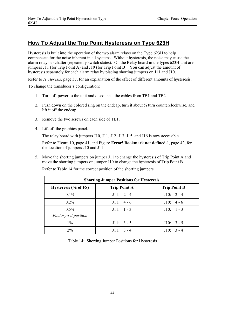### **How To Adjust the Trip Point Hysteresis on Type 623H**

Hysteresis is built into the operation of the two alarm relays on the Type 623H to help compensate for the noise inherent in all systems. Without hysteresis, the noise may cause the alarm relays to chatter (repeatedly switch states). On the Relay board in the types 623H unit are jumpers J11 (for Trip Point A) and J10 (for Trip Point B). You can adjust the amount of hysteresis separately for each alarm relay by placing shorting jumpers on J11 and J10.

Refer to *Hysteresis*, page 37, for an explanation of the effect of different amounts of hysteresis.

To change the transducer's configuration:

- 1. Turn off power to the unit and disconnect the cables from TB1 and TB2.
- 2. Push down on the colored ring on the endcap, turn it about  $\frac{1}{4}$  turn counterclockwise, and lift it off the endcap.
- 3. Remove the two screws on each side of TB1.
- 4. Lift off the graphics panel.

The relay board with jumpers J10, J11, J12, J13, J15, and J16 is now accessible.

Refer to Figure 10, page 41, and Figure **Error! Bookmark not defined.**1, page 42, for the location of jumpers J10 and J11.

5. Move the shorting jumpers on jumper J11 to change the hysteresis of Trip Point A and move the shorting jumpers on jumper J10 to change the hysteresis of Trip Point B.

Refer to Table 14 for the correct position of the shorting jumpers.

| <b>Shorting Jumper Positions for Hysteresis</b> |                     |                     |
|-------------------------------------------------|---------------------|---------------------|
| Hysteresis $(\%$ of FS)                         | <b>Trip Point A</b> | <b>Trip Point B</b> |
| $0.1\%$                                         | $J11: 2-4$          | $J10: 2 - 4$        |
| $0.2\%$                                         | $J11: 4-6$          | $J10: 4-6$          |
| $0.5\%$                                         | $J11: 1 - 3$        | $J10: 1 - 3$        |
| <i>Factory-set position</i>                     |                     |                     |
| $1\%$                                           | $J11: 3-5$          | $J10: 3 - 5$        |
| $2\%$                                           | $J11: 3-4$          | $J10: 3 - 4$        |

Table 14: Shorting Jumper Positions for Hysteresis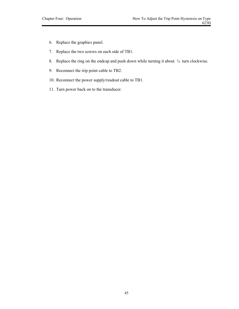- 6. Replace the graphics panel.
- 7. Replace the two screws on each side of TB1.
- 8. Replace the ring on the endcap and push down while turning it about  $\frac{1}{4}$  turn clockwise.
- 9. Reconnect the trip point cable to TB2.
- 10. Reconnect the power supply/readout cable to TB1.
- 11. Turn power back on to the transducer.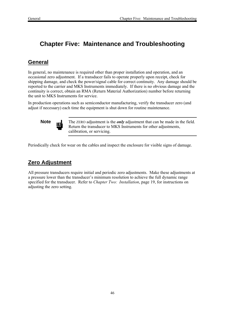## **Chapter Five: Maintenance and Troubleshooting**

### **General**

In general, no maintenance is required other than proper installation and operation, and an occasional zero adjustment. If a transducer fails to operate properly upon receipt, check for shipping damage, and check the power/signal cable for correct continuity. Any damage should be reported to the carrier and MKS Instruments immediately. If there is no obvious damage and the continuity is correct, obtain an RMA (Return Material Authorization) number before returning the unit to MKS Instruments for service.

In production operations such as semiconductor manufacturing, verify the transducer zero (and adjust if necessary) each time the equipment is shut down for routine maintenance.



**Note nd** The ZERO adjustment is the *only* adjustment that can be made in the field. Return the transducer to MKS Instruments for other adjustments, calibration, or servicing.

Periodically check for wear on the cables and inspect the enclosure for visible signs of damage.

### **Zero Adjustment**

All pressure transducers require initial and periodic zero adjustments. Make these adjustments at a pressure lower than the transducer's minimum resolution to achieve the full dynamic range specified for the transducer. Refer to *Chapter Two: Installation*, page 19, for instructions on adjusting the zero setting.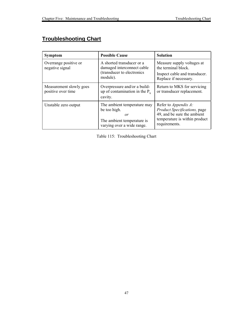### **Troubleshooting Chart**

| <b>Symptom</b>                                | <b>Possible Cause</b>                                                                                         | <b>Solution</b>                                                                                                                               |
|-----------------------------------------------|---------------------------------------------------------------------------------------------------------------|-----------------------------------------------------------------------------------------------------------------------------------------------|
| Overrange positive or<br>negative signal      | A shorted transducer or a<br>damaged interconnect cable<br>(transducer to electronics<br>module).             | Measure supply voltages at<br>the terminal block.<br>Inspect cable and transducer.<br>Replace if necessary.                                   |
| Measurement slowly goes<br>positive over time | Overpressure and/or a build-<br>up of contamination in the $P_x$<br>cavity.                                   | Return to MKS for servicing<br>or transducer replacement.                                                                                     |
| Unstable zero output                          | The ambient temperature may<br>be too high.<br>or<br>The ambient temperature is<br>varying over a wide range. | Refer to <i>Appendix A</i> :<br>Product Specifications, page<br>49, and be sure the ambient<br>temperature is within product<br>requirements. |

Table 115: Troubleshooting Chart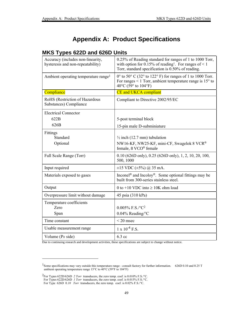### **Appendix A: Product Specifications**

| Accuracy (includes non-linearity,<br>hysteresis and non-repeatability) | 0.25% of Reading standard for ranges of 1 to 1000 Torr,<br>with option for 0.15% of reading <sup>1</sup> . For ranges of < 1<br>Torr, standard specification is 0.50% of reading. |
|------------------------------------------------------------------------|-----------------------------------------------------------------------------------------------------------------------------------------------------------------------------------|
| Ambient operating temperature range <sup>1</sup>                       | $0^{\circ}$ to 50° C (32° to 122° F) for ranges of 1 to 1000 Torr.<br>For ranges $\leq 1$ Torr, ambient temperature range is 15 $\degree$ to<br>40°C (59° to 104°F)               |
| Compliance                                                             | <b>CE</b> and UKCA compliant                                                                                                                                                      |
| RoHS (Restriction of Hazardous<br>Substances) Compliance               | Compliant to Directive 2002/95/EC                                                                                                                                                 |
| <b>Electrical Connector</b>                                            |                                                                                                                                                                                   |
| 622B                                                                   | 5-post terminal block                                                                                                                                                             |
| 626B                                                                   | 15-pin male D-subminiature                                                                                                                                                        |
| Fittings<br>Standard<br>Optional                                       | $\frac{1}{2}$ inch (12.7 mm) tubulation<br>NW16-KF, NW25-KF, mini-CF, Swagelok 8 VCR®<br>female, 8 VCO® female                                                                    |
| Full Scale Range (Torr)                                                | 0.10 (626D only), 0.25 (626D only), 1, 2, 10, 20, 100,<br>500, 1000                                                                                                               |
| Input required                                                         | $\pm 15$ VDC ( $\pm 5\%$ ) @ 35 mA.                                                                                                                                               |
| Materials exposed to gases                                             | Inconel <sup>®</sup> and Incoloy <sup>®</sup> . Some optional fittings may be<br>built from 300-series stainless steel.                                                           |
| Output                                                                 | 0 to +10 VDC into $\geq$ 10K ohm load                                                                                                                                             |
| Overpressure limit without damage                                      | 45 psia (310 kPa)                                                                                                                                                                 |
| Temperature coefficients<br>Zero<br>Span                               | $0.005\%$ F.S./°C <sup>2</sup><br>$0.04\%$ Reading/°C                                                                                                                             |
| Time constant                                                          | $\leq$ 20 msec                                                                                                                                                                    |
| Usable measurement range                                               | $1 \times 10^{-4}$ F.S.                                                                                                                                                           |
| Volume (Px side)                                                       | 6.3 cc                                                                                                                                                                            |

### **MKS Types 622D and 626D Units**

Due to continuing research and development activities, these specifications are subject to change without notice.

 $1$ Some specifications may vary outside this temperature range - consult factory for further information. 626D 0.10 and 0.25 T ambient operating temperature range 15°C to 40°C (59°F to 104°F)

<sup>2</sup>For Types 622D/626D *2 Torr* transducers, the zero temp. coef. is 0.010% F.S./°C.

For Types 622D/626D *1 Torr* transducers, the zero temp. coef. is 0.015% F.S./°C.

For Type 626D 0.10 Torr transducers, the zero temp. coef. is 0.02% F.S./°C.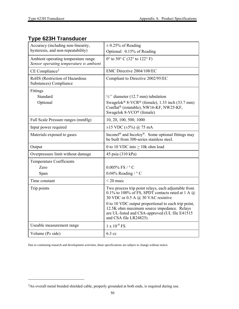### **Type 623H Transducer**

| Accuracy (including non-linearity,<br>hysteresis, and non-repeatability)       | $\pm$ 0.25% of Reading<br>Optional: 0.15% of Reading                                                                                                                                                                                                                                                                                         |
|--------------------------------------------------------------------------------|----------------------------------------------------------------------------------------------------------------------------------------------------------------------------------------------------------------------------------------------------------------------------------------------------------------------------------------------|
| Ambient operating temperature range<br>Sensor operating temperature is ambient | $0^{\circ}$ to 50° C (32° to 122° F)                                                                                                                                                                                                                                                                                                         |
| CE Compliance <sup>3</sup>                                                     | EMC Directive 2004/108/EC                                                                                                                                                                                                                                                                                                                    |
| RoHS (Restriction of Hazardous<br>Substances) Compliance                       | Compliant to Directive 2002/95/EC                                                                                                                                                                                                                                                                                                            |
| Fittings<br>Standard<br>Optional                                               | $\frac{1}{2}$ " diameter (12.7 mm) tubulation<br>Swagelok® 8-VCR® (female), 1.33 inch (33.7 mm)<br>Conflat® (rotatable), NW16-KF, NW25-KF,<br>Swagelok 8-VCO® (female)                                                                                                                                                                       |
| Full Scale Pressure ranges (mmHg)                                              | 10, 20, 100, 500, 1000                                                                                                                                                                                                                                                                                                                       |
| Input power required                                                           | $\pm 15$ VDC ( $\pm 5\%$ ) @ 75 mA                                                                                                                                                                                                                                                                                                           |
| Materials exposed to gases                                                     | Inconel <sup>®</sup> and Incoloy <sup>®</sup> . Some optional fittings may<br>be built from 300-series stainless steel.                                                                                                                                                                                                                      |
| Output                                                                         | 0 to 10 VDC into $\geq$ 10k ohm load                                                                                                                                                                                                                                                                                                         |
| Overpressure limit without damage                                              | 45 psia (310 kPa)                                                                                                                                                                                                                                                                                                                            |
| <b>Temperature Coefficients</b><br>Zero<br>Span                                | $0.005\%$ FS / $\circ$ C<br>0.04% Reading / $\circ$ C                                                                                                                                                                                                                                                                                        |
| Time constant                                                                  | $<$ 20 msec                                                                                                                                                                                                                                                                                                                                  |
| Trip points                                                                    | Two process trip point relays, each adjustable from<br>0.1% to 100% of FS, SPDT contacts rated at 1 A $\omega$<br>30 VDC or 0.5 A $\omega$ 30 VAC resistive<br>0 to 10 VDC output proportional to each trip point,<br>12.5K ohm maximum source impedance. Relays<br>are UL-listed and CSA-approved (UL file E41515<br>and CSA file LR24825). |
| Useable measurement range                                                      | $1 \times 10^{-4}$ FS                                                                                                                                                                                                                                                                                                                        |
| Volume $(Px \text{ side})$                                                     | 6.3 cc                                                                                                                                                                                                                                                                                                                                       |

Due to continuing research and development activities, these specifications are subject to change without notice.

<sup>3</sup>An overall metal braided shielded cable, properly grounded at both ends, is required during use.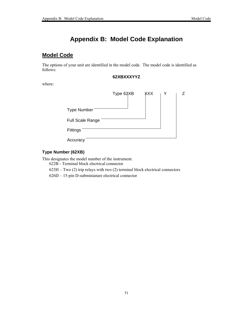## **Appendix B: Model Code Explanation**

### **Model Code**

The options of your unit are identified in the model code. The model code is identified as follows:

#### **62XBXXXYYZ**

where:



#### **Type Number (62XB)**

This designates the model number of the instrument.

622B - Terminal block electrical connector

623H – Two (2) trip relays with two (2) terminal block electrical connectors

626D – 15-pin D-subminiature electrical connector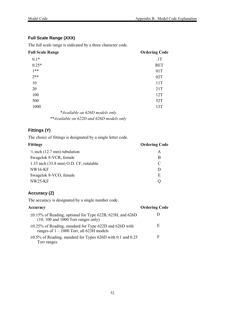#### **Full Scale Range (XXX)**

The full scale range is indicated by a three character code.

| <b>Full Scale Range</b>                  | <b>Ordering Code</b> |
|------------------------------------------|----------------------|
| $0.1*$                                   | .1T                  |
| $0.25*$                                  | <b>RET</b>           |
| $1***$                                   | 01T                  |
| $2**$                                    | 02T                  |
| 10                                       | 11T                  |
| 20                                       | 21T                  |
| 100                                      | 12T                  |
| 500                                      | 52T                  |
| 1000                                     | 13T                  |
| *Available on 626D models only           |                      |
| **Available on 622D and 626D models only |                      |

#### **Fittings (Y)**

The choice of fittings is designated by a single letter code.

| <b>Fittings</b>                         | <b>Ordering Code</b> |
|-----------------------------------------|----------------------|
| $\frac{1}{2}$ inch (12.7 mm) tubulation | A                    |
| Swagelok 8-VCR, female                  | B                    |
| 1.33 inch (33.8 mm) O.D. CF, rotatable  | C                    |
| <b>NW16-KF</b>                          | D                    |
| Swagelok 8-VCO, female                  | E                    |
| <b>NW25-KF</b>                          |                      |

#### **Accuracy (Z)**

The accuracy is designated by a single number code.

| Accuracy                                                                                                    | <b>Ordering Code</b> |
|-------------------------------------------------------------------------------------------------------------|----------------------|
| $\pm 0.15\%$ of Reading, optional for Type 622B, 623H, and 626D<br>$(10, 100$ and $1000$ Torr ranges only)  |                      |
| $\pm 0.25\%$ of Reading, standard for Type 622D and 626D with<br>ranges of $1 - 1000$ Torr, all 623H models | E                    |
| $\pm 0.5\%$ of Reading, standard for Types 626D with 0.1 and 0.25<br>Torr ranges                            | F                    |